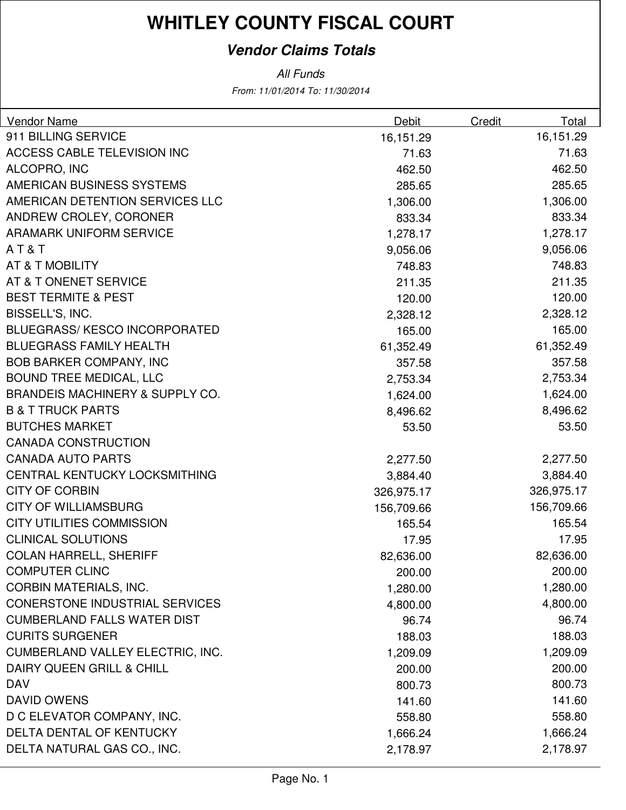#### **Vendor Claims Totals**

From: 11/01/2014 To: 11/30/2014 All Funds

| Vendor Name                                | Debit      | Credit | Total      |
|--------------------------------------------|------------|--------|------------|
| 911 BILLING SERVICE                        | 16,151.29  |        | 16,151.29  |
| ACCESS CABLE TELEVISION INC                | 71.63      |        | 71.63      |
| ALCOPRO, INC                               | 462.50     |        | 462.50     |
| AMERICAN BUSINESS SYSTEMS                  | 285.65     |        | 285.65     |
| AMERICAN DETENTION SERVICES LLC            | 1,306.00   |        | 1,306.00   |
| ANDREW CROLEY, CORONER                     | 833.34     |        | 833.34     |
| <b>ARAMARK UNIFORM SERVICE</b>             | 1,278.17   |        | 1,278.17   |
| AT&T                                       | 9,056.06   |        | 9,056.06   |
| AT & T MOBILITY                            | 748.83     |        | 748.83     |
| AT & T ONENET SERVICE                      | 211.35     |        | 211.35     |
| <b>BEST TERMITE &amp; PEST</b>             | 120.00     |        | 120.00     |
| BISSELL'S, INC.                            | 2,328.12   |        | 2,328.12   |
| <b>BLUEGRASS/KESCO INCORPORATED</b>        | 165.00     |        | 165.00     |
| <b>BLUEGRASS FAMILY HEALTH</b>             | 61,352.49  |        | 61,352.49  |
| <b>BOB BARKER COMPANY, INC</b>             | 357.58     |        | 357.58     |
| <b>BOUND TREE MEDICAL, LLC</b>             | 2,753.34   |        | 2,753.34   |
| <b>BRANDEIS MACHINERY &amp; SUPPLY CO.</b> | 1,624.00   |        | 1,624.00   |
| <b>B &amp; T TRUCK PARTS</b>               | 8,496.62   |        | 8,496.62   |
| <b>BUTCHES MARKET</b>                      | 53.50      |        | 53.50      |
| <b>CANADA CONSTRUCTION</b>                 |            |        |            |
| <b>CANADA AUTO PARTS</b>                   | 2,277.50   |        | 2,277.50   |
| CENTRAL KENTUCKY LOCKSMITHING              | 3,884.40   |        | 3,884.40   |
| <b>CITY OF CORBIN</b>                      | 326,975.17 |        | 326,975.17 |
| <b>CITY OF WILLIAMSBURG</b>                | 156,709.66 |        | 156,709.66 |
| <b>CITY UTILITIES COMMISSION</b>           | 165.54     |        | 165.54     |
| <b>CLINICAL SOLUTIONS</b>                  | 17.95      |        | 17.95      |
| <b>COLAN HARRELL, SHERIFF</b>              | 82,636.00  |        | 82,636.00  |
| <b>COMPUTER CLINC</b>                      | 200.00     |        | 200.00     |
| <b>CORBIN MATERIALS, INC.</b>              | 1,280.00   |        | 1,280.00   |
| <b>CONERSTONE INDUSTRIAL SERVICES</b>      | 4,800.00   |        | 4,800.00   |
| <b>CUMBERLAND FALLS WATER DIST</b>         | 96.74      |        | 96.74      |
| <b>CURITS SURGENER</b>                     | 188.03     |        | 188.03     |
| CUMBERLAND VALLEY ELECTRIC, INC.           | 1,209.09   |        | 1,209.09   |
| DAIRY QUEEN GRILL & CHILL                  | 200.00     |        | 200.00     |
| <b>DAV</b>                                 | 800.73     |        | 800.73     |
| <b>DAVID OWENS</b>                         | 141.60     |        | 141.60     |
| D C ELEVATOR COMPANY, INC.                 | 558.80     |        | 558.80     |
| DELTA DENTAL OF KENTUCKY                   | 1,666.24   |        | 1,666.24   |
| DELTA NATURAL GAS CO., INC.                | 2,178.97   |        | 2,178.97   |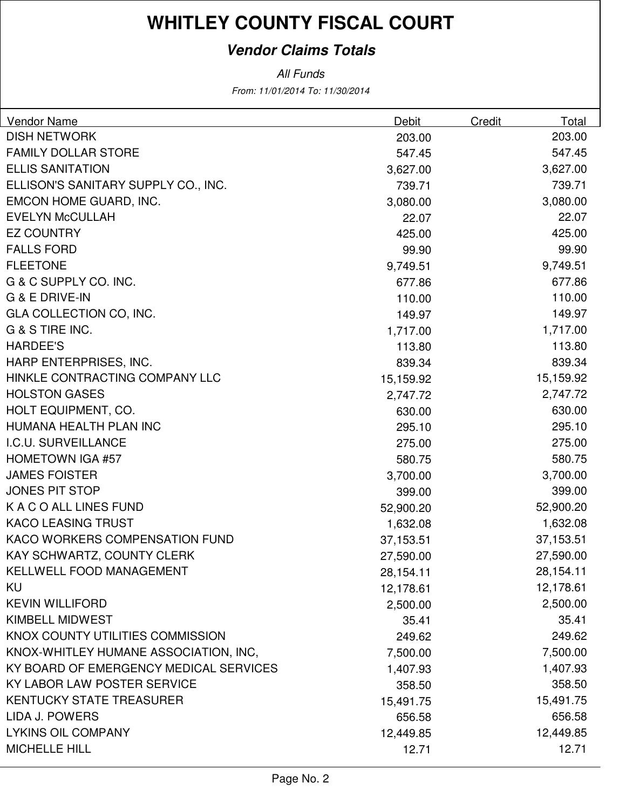#### **Vendor Claims Totals**

From: 11/01/2014 To: 11/30/2014 All Funds

| Vendor Name                            | Debit     | Credit | Total     |
|----------------------------------------|-----------|--------|-----------|
| <b>DISH NETWORK</b>                    | 203.00    |        | 203.00    |
| <b>FAMILY DOLLAR STORE</b>             | 547.45    |        | 547.45    |
| <b>ELLIS SANITATION</b>                | 3,627.00  |        | 3,627.00  |
| ELLISON'S SANITARY SUPPLY CO., INC.    | 739.71    |        | 739.71    |
| EMCON HOME GUARD, INC.                 | 3,080.00  |        | 3,080.00  |
| <b>EVELYN McCULLAH</b>                 | 22.07     |        | 22.07     |
| <b>EZ COUNTRY</b>                      | 425.00    |        | 425.00    |
| <b>FALLS FORD</b>                      | 99.90     |        | 99.90     |
| <b>FLEETONE</b>                        | 9,749.51  |        | 9,749.51  |
| G & C SUPPLY CO. INC.                  | 677.86    |        | 677.86    |
| G & E DRIVE-IN                         | 110.00    |        | 110.00    |
| GLA COLLECTION CO, INC.                | 149.97    |        | 149.97    |
| G & S TIRE INC.                        | 1,717.00  |        | 1,717.00  |
| <b>HARDEE'S</b>                        | 113.80    |        | 113.80    |
| HARP ENTERPRISES, INC.                 | 839.34    |        | 839.34    |
| HINKLE CONTRACTING COMPANY LLC         | 15,159.92 |        | 15,159.92 |
| <b>HOLSTON GASES</b>                   | 2,747.72  |        | 2,747.72  |
| HOLT EQUIPMENT, CO.                    | 630.00    |        | 630.00    |
| HUMANA HEALTH PLAN INC                 | 295.10    |        | 295.10    |
| I.C.U. SURVEILLANCE                    | 275.00    |        | 275.00    |
| <b>HOMETOWN IGA #57</b>                | 580.75    |        | 580.75    |
| <b>JAMES FOISTER</b>                   | 3,700.00  |        | 3,700.00  |
| <b>JONES PIT STOP</b>                  | 399.00    |        | 399.00    |
| K A C O ALL LINES FUND                 | 52,900.20 |        | 52,900.20 |
| <b>KACO LEASING TRUST</b>              | 1,632.08  |        | 1,632.08  |
| KACO WORKERS COMPENSATION FUND         | 37,153.51 |        | 37,153.51 |
| KAY SCHWARTZ, COUNTY CLERK             | 27,590.00 |        | 27,590.00 |
| <b>KELLWELL FOOD MANAGEMENT</b>        | 28,154.11 |        | 28,154.11 |
| KU                                     | 12,178.61 |        | 12,178.61 |
| <b>KEVIN WILLIFORD</b>                 | 2,500.00  |        | 2,500.00  |
| <b>KIMBELL MIDWEST</b>                 | 35.41     |        | 35.41     |
| KNOX COUNTY UTILITIES COMMISSION       | 249.62    |        | 249.62    |
| KNOX-WHITLEY HUMANE ASSOCIATION, INC,  | 7,500.00  |        | 7,500.00  |
| KY BOARD OF EMERGENCY MEDICAL SERVICES | 1,407.93  |        | 1,407.93  |
| KY LABOR LAW POSTER SERVICE            | 358.50    |        | 358.50    |
| <b>KENTUCKY STATE TREASURER</b>        | 15,491.75 |        | 15,491.75 |
| LIDA J. POWERS                         | 656.58    |        | 656.58    |
| <b>LYKINS OIL COMPANY</b>              | 12,449.85 |        | 12,449.85 |
| <b>MICHELLE HILL</b>                   | 12.71     |        | 12.71     |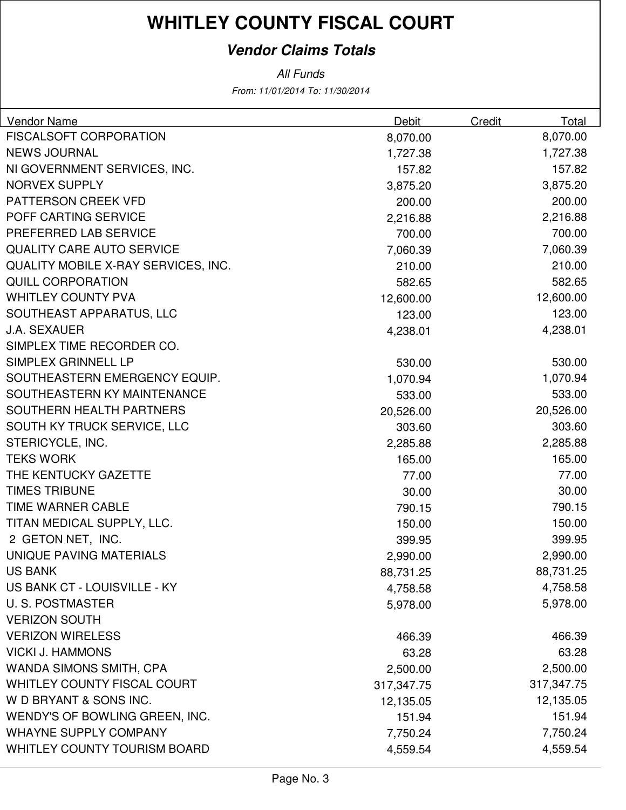#### **Vendor Claims Totals**

From: 11/01/2014 To: 11/30/2014 All Funds

| Vendor Name                         | Debit      | Credit | Total      |
|-------------------------------------|------------|--------|------------|
| <b>FISCALSOFT CORPORATION</b>       | 8,070.00   |        | 8,070.00   |
| <b>NEWS JOURNAL</b>                 | 1,727.38   |        | 1,727.38   |
| NI GOVERNMENT SERVICES, INC.        | 157.82     |        | 157.82     |
| <b>NORVEX SUPPLY</b>                | 3,875.20   |        | 3,875.20   |
| PATTERSON CREEK VFD                 | 200.00     |        | 200.00     |
| POFF CARTING SERVICE                | 2,216.88   |        | 2,216.88   |
| PREFERRED LAB SERVICE               | 700.00     |        | 700.00     |
| <b>QUALITY CARE AUTO SERVICE</b>    | 7,060.39   |        | 7,060.39   |
| QUALITY MOBILE X-RAY SERVICES, INC. | 210.00     |        | 210.00     |
| <b>QUILL CORPORATION</b>            | 582.65     |        | 582.65     |
| <b>WHITLEY COUNTY PVA</b>           | 12,600.00  |        | 12,600.00  |
| SOUTHEAST APPARATUS, LLC            | 123.00     |        | 123.00     |
| <b>J.A. SEXAUER</b>                 | 4,238.01   |        | 4,238.01   |
| SIMPLEX TIME RECORDER CO.           |            |        |            |
| SIMPLEX GRINNELL LP                 | 530.00     |        | 530.00     |
| SOUTHEASTERN EMERGENCY EQUIP.       | 1,070.94   |        | 1,070.94   |
| SOUTHEASTERN KY MAINTENANCE         | 533.00     |        | 533.00     |
| SOUTHERN HEALTH PARTNERS            | 20,526.00  |        | 20,526.00  |
| SOUTH KY TRUCK SERVICE, LLC         | 303.60     |        | 303.60     |
| STERICYCLE, INC.                    | 2,285.88   |        | 2,285.88   |
| <b>TEKS WORK</b>                    | 165.00     |        | 165.00     |
| THE KENTUCKY GAZETTE                | 77.00      |        | 77.00      |
| <b>TIMES TRIBUNE</b>                | 30.00      |        | 30.00      |
| TIME WARNER CABLE                   | 790.15     |        | 790.15     |
| TITAN MEDICAL SUPPLY, LLC.          | 150.00     |        | 150.00     |
| 2 GETON NET, INC.                   | 399.95     |        | 399.95     |
| UNIQUE PAVING MATERIALS             | 2,990.00   |        | 2,990.00   |
| <b>US BANK</b>                      | 88,731.25  |        | 88,731.25  |
| US BANK CT - LOUISVILLE - KY        | 4,758.58   |        | 4,758.58   |
| <b>U.S. POSTMASTER</b>              | 5,978.00   |        | 5,978.00   |
| <b>VERIZON SOUTH</b>                |            |        |            |
| <b>VERIZON WIRELESS</b>             | 466.39     |        | 466.39     |
| <b>VICKI J. HAMMONS</b>             | 63.28      |        | 63.28      |
| WANDA SIMONS SMITH, CPA             | 2,500.00   |        | 2,500.00   |
| WHITLEY COUNTY FISCAL COURT         | 317,347.75 |        | 317,347.75 |
| W D BRYANT & SONS INC.              | 12,135.05  |        | 12,135.05  |
| WENDY'S OF BOWLING GREEN, INC.      | 151.94     |        | 151.94     |
| <b>WHAYNE SUPPLY COMPANY</b>        | 7,750.24   |        | 7,750.24   |
| WHITLEY COUNTY TOURISM BOARD        | 4,559.54   |        | 4,559.54   |